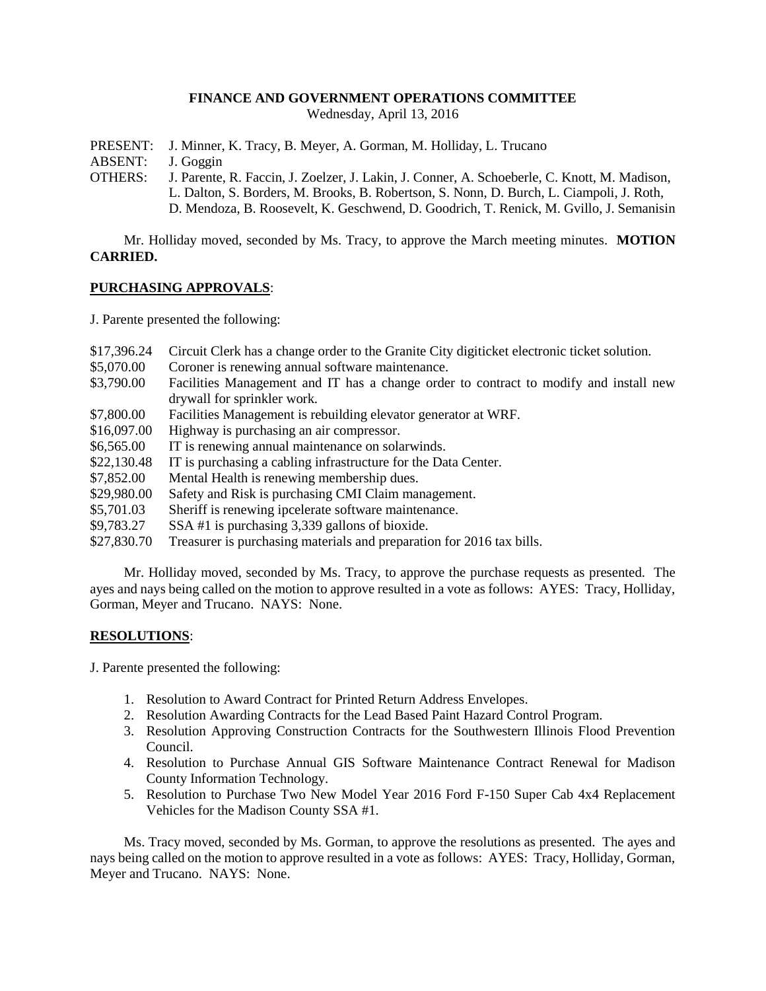#### **FINANCE AND GOVERNMENT OPERATIONS COMMITTEE**

Wednesday, April 13, 2016

PRESENT: J. Minner, K. Tracy, B. Meyer, A. Gorman, M. Holliday, L. Trucano

ABSENT: J. Goggin

- OTHERS: J. Parente, R. Faccin, J. Zoelzer, J. Lakin, J. Conner, A. Schoeberle, C. Knott, M. Madison, L. Dalton, S. Borders, M. Brooks, B. Robertson, S. Nonn, D. Burch, L. Ciampoli, J. Roth,
	- D. Mendoza, B. Roosevelt, K. Geschwend, D. Goodrich, T. Renick, M. Gvillo, J. Semanisin

Mr. Holliday moved, seconded by Ms. Tracy, to approve the March meeting minutes. **MOTION CARRIED.**

#### **PURCHASING APPROVALS**:

J. Parente presented the following:

- \$17,396.24 Circuit Clerk has a change order to the Granite City digiticket electronic ticket solution.
- \$5,070.00 Coroner is renewing annual software maintenance.
- \$3,790.00 Facilities Management and IT has a change order to contract to modify and install new drywall for sprinkler work.
- \$7,800.00 Facilities Management is rebuilding elevator generator at WRF.
- \$16,097.00 Highway is purchasing an air compressor.
- \$6,565.00 IT is renewing annual maintenance on solarwinds.
- \$22,130.48 IT is purchasing a cabling infrastructure for the Data Center.
- \$7,852.00 Mental Health is renewing membership dues.
- \$29,980.00 Safety and Risk is purchasing CMI Claim management.
- \$5,701.03 Sheriff is renewing ipcelerate software maintenance.
- \$9,783.27 SSA #1 is purchasing 3,339 gallons of bioxide.
- \$27,830.70 Treasurer is purchasing materials and preparation for 2016 tax bills.

Mr. Holliday moved, seconded by Ms. Tracy, to approve the purchase requests as presented. The ayes and nays being called on the motion to approve resulted in a vote as follows: AYES: Tracy, Holliday, Gorman, Meyer and Trucano. NAYS: None.

## **RESOLUTIONS**:

J. Parente presented the following:

- 1. Resolution to Award Contract for Printed Return Address Envelopes.
- 2. Resolution Awarding Contracts for the Lead Based Paint Hazard Control Program.
- 3. Resolution Approving Construction Contracts for the Southwestern Illinois Flood Prevention Council.
- 4. Resolution to Purchase Annual GIS Software Maintenance Contract Renewal for Madison County Information Technology.
- 5. Resolution to Purchase Two New Model Year 2016 Ford F-150 Super Cab 4x4 Replacement Vehicles for the Madison County SSA #1.

Ms. Tracy moved, seconded by Ms. Gorman, to approve the resolutions as presented. The ayes and nays being called on the motion to approve resulted in a vote as follows: AYES: Tracy, Holliday, Gorman, Meyer and Trucano. NAYS: None.